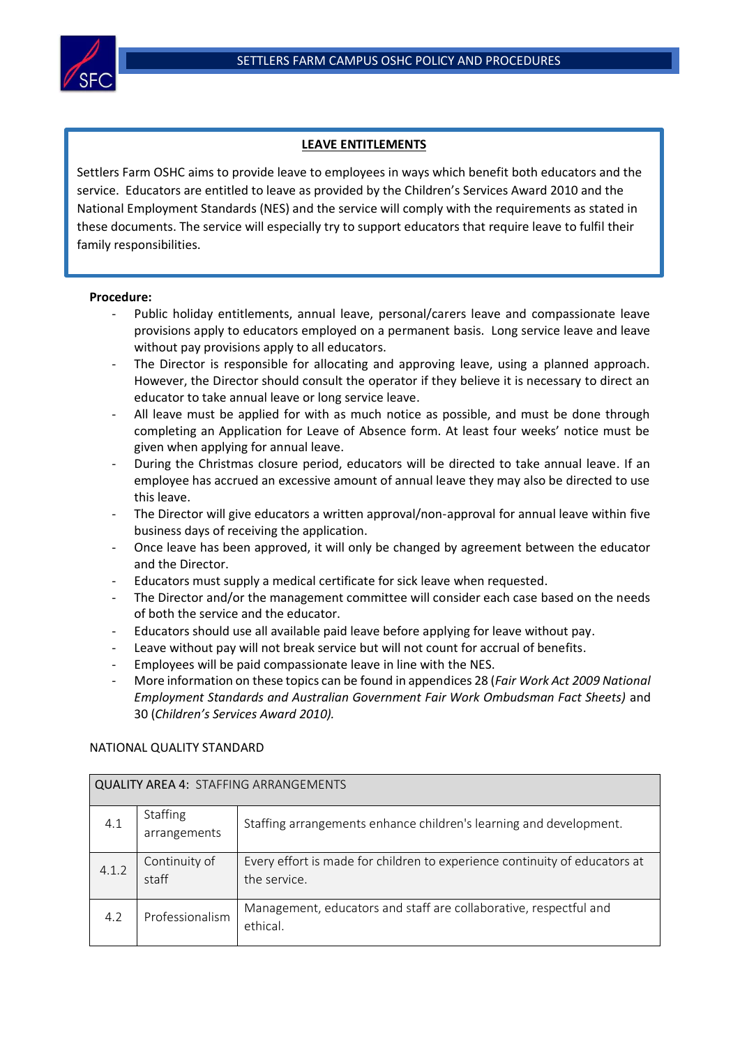

## **LEAVE ENTITLEMENTS**

Settlers Farm OSHC aims to provide leave to employees in ways which benefit both educators and the service. Educators are entitled to leave as provided by the Children's Services Award 2010 and the National Employment Standards (NES) and the service will comply with the requirements as stated in these documents. The service will especially try to support educators that require leave to fulfil their family responsibilities.

## **Procedure:**

Ĩ

- Public holiday entitlements, annual leave, personal/carers leave and compassionate leave provisions apply to educators employed on a permanent basis. Long service leave and leave without pay provisions apply to all educators.
- The Director is responsible for allocating and approving leave, using a planned approach. However, the Director should consult the operator if they believe it is necessary to direct an educator to take annual leave or long service leave.
- All leave must be applied for with as much notice as possible, and must be done through completing an Application for Leave of Absence form. At least four weeks' notice must be given when applying for annual leave.
- During the Christmas closure period, educators will be directed to take annual leave. If an employee has accrued an excessive amount of annual leave they may also be directed to use this leave.
- The Director will give educators a written approval/non-approval for annual leave within five business days of receiving the application.
- Once leave has been approved, it will only be changed by agreement between the educator and the Director.
- Educators must supply a medical certificate for sick leave when requested.
- The Director and/or the management committee will consider each case based on the needs of both the service and the educator.
- Educators should use all available paid leave before applying for leave without pay.
- Leave without pay will not break service but will not count for accrual of benefits.
- Employees will be paid compassionate leave in line with the NES.
- More information on these topics can be found in appendices 28 (*Fair Work Act 2009 National Employment Standards and Australian Government Fair Work Ombudsman Fact Sheets)* and 30 (*Children's Services Award 2010).*

## NATIONAL QUALITY STANDARD

| <b>QUALITY AREA 4: STAFFING ARRANGEMENTS</b> |                          |                                                                                            |  |  |  |
|----------------------------------------------|--------------------------|--------------------------------------------------------------------------------------------|--|--|--|
| 4.1                                          | Staffing<br>arrangements | Staffing arrangements enhance children's learning and development.                         |  |  |  |
| 4.1.2                                        | Continuity of<br>staff   | Every effort is made for children to experience continuity of educators at<br>the service. |  |  |  |
| 4.2                                          | Professionalism          | Management, educators and staff are collaborative, respectful and<br>ethical.              |  |  |  |